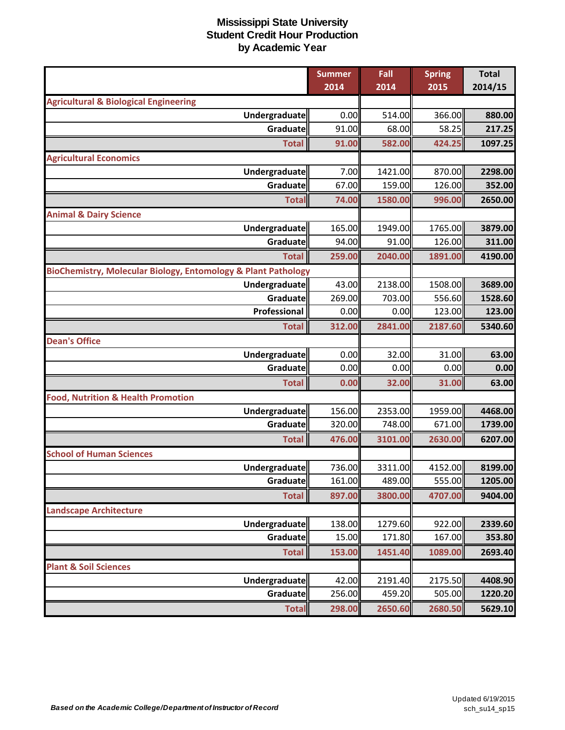|                                                               | <b>Summer</b> | Fall    | <b>Spring</b> | <b>Total</b> |
|---------------------------------------------------------------|---------------|---------|---------------|--------------|
|                                                               | 2014          | 2014    | 2015          | 2014/15      |
| <b>Agricultural &amp; Biological Engineering</b>              |               |         |               |              |
| <b>Undergraduate</b>                                          | 0.00          | 514.00  | 366.00        | 880.00       |
| Graduate                                                      | 91.00         | 68.00   | 58.25         | 217.25       |
| <b>Total</b>                                                  | 91.00         | 582.00  | 424.25        | 1097.25      |
| <b>Agricultural Economics</b>                                 |               |         |               |              |
| Undergraduate                                                 | 7.00          | 1421.00 | 870.00        | 2298.00      |
| Graduate                                                      | 67.00         | 159.00  | 126.00        | 352.00       |
| <b>Total</b>                                                  | 74.00         | 1580.00 | 996.00        | 2650.00      |
| <b>Animal &amp; Dairy Science</b>                             |               |         |               |              |
| Undergraduate                                                 | 165.00        | 1949.00 | 1765.00       | 3879.00      |
| Graduate                                                      | 94.00         | 91.00   | 126.00        | 311.00       |
| <b>Total</b>                                                  | 259.00        | 2040.00 | 1891.00       | 4190.00      |
| BioChemistry, Molecular Biology, Entomology & Plant Pathology |               |         |               |              |
| Undergraduate                                                 | 43.00         | 2138.00 | 1508.00       | 3689.00      |
| Graduate                                                      | 269.00        | 703.00  | 556.60        | 1528.60      |
| Professional                                                  | 0.00          | 0.00    | 123.00        | 123.00       |
| <b>Total</b>                                                  | 312.00        | 2841.00 | 2187.60       | 5340.60      |
| <b>Dean's Office</b>                                          |               |         |               |              |
| Undergraduate                                                 | 0.00          | 32.00   | 31.00         | 63.00        |
| Graduate                                                      | 0.00          | 0.00    | 0.00          | 0.00         |
| <b>Total</b>                                                  | 0.00          | 32.00   | 31.00         | 63.00        |
| <b>Food, Nutrition &amp; Health Promotion</b>                 |               |         |               |              |
| Undergraduate                                                 | 156.00        | 2353.00 | 1959.00       | 4468.00      |
| Graduate                                                      | 320.00        | 748.00  | 671.00        | 1739.00      |
| <b>Total</b>                                                  | 476.00        | 3101.00 | 2630.00       | 6207.00      |
| <b>School of Human Sciences</b>                               |               |         |               |              |
| Undergraduate                                                 | 736.00        | 3311.00 | 4152.00       | 8199.00      |
| Graduate                                                      | 161.00        | 489.00  | 555.00        | 1205.00      |
| <b>Total</b>                                                  | 897.00        | 3800.00 | 4707.00       | 9404.00      |
| <b>Landscape Architecture</b>                                 |               |         |               |              |
| Undergraduate                                                 | 138.00        | 1279.60 | 922.00        | 2339.60      |
| Graduate                                                      | 15.00         | 171.80  | 167.00        | 353.80       |
| <b>Total</b>                                                  | 153.00        | 1451.40 | 1089.00       | 2693.40      |
| <b>Plant &amp; Soil Sciences</b>                              |               |         |               |              |
| Undergraduate                                                 | 42.00         | 2191.40 | 2175.50       | 4408.90      |
| Graduate                                                      | 256.00        | 459.20  | 505.00        | 1220.20      |
| <b>Total</b>                                                  | 298.00        | 2650.60 | 2680.50       | 5629.10      |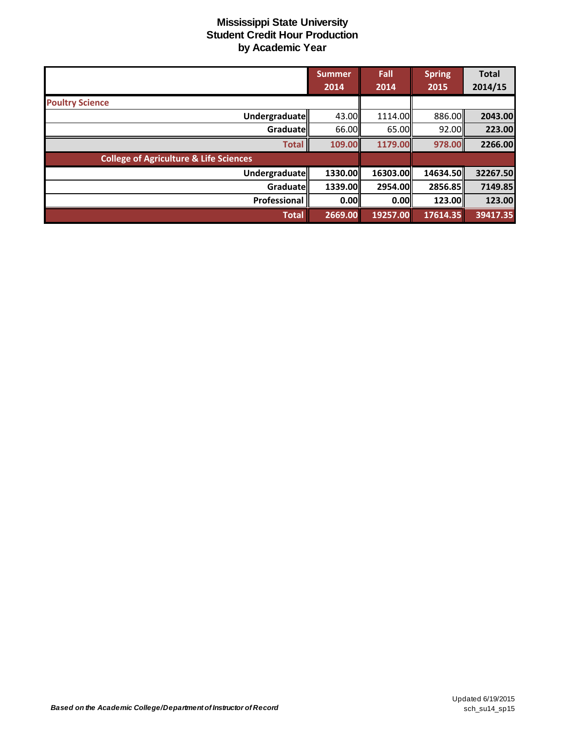|                                                   | <b>Summer</b><br>2014 | Fall<br>2014 | <b>Spring</b><br>2015 | <b>Total</b><br>2014/15 |
|---------------------------------------------------|-----------------------|--------------|-----------------------|-------------------------|
|                                                   |                       |              |                       |                         |
| <b>Poultry Science</b>                            |                       |              |                       |                         |
| Undergraduate                                     | 43.00                 | 1114.00      | 886.00                | 2043.00                 |
| Graduate                                          | 66.00                 | 65.00        | 92.00                 | 223.00                  |
| <b>Total</b>                                      | 109.00                | 1179.00      | 978.00                | 2266.00                 |
| <b>College of Agriculture &amp; Life Sciences</b> |                       |              |                       |                         |
| Undergraduate                                     | 1330.00ll             | 16303.00     | 14634.50              | 32267.50                |
| Graduate                                          | 1339.00               | 2954.00      | 2856.85               | 7149.85                 |
| Professional                                      | 0.00                  | 0.00         | 123.00                | 123.00                  |
| <b>Total</b>                                      | 2669.00               | 19257.00     | 17614.35              | 39417.35                |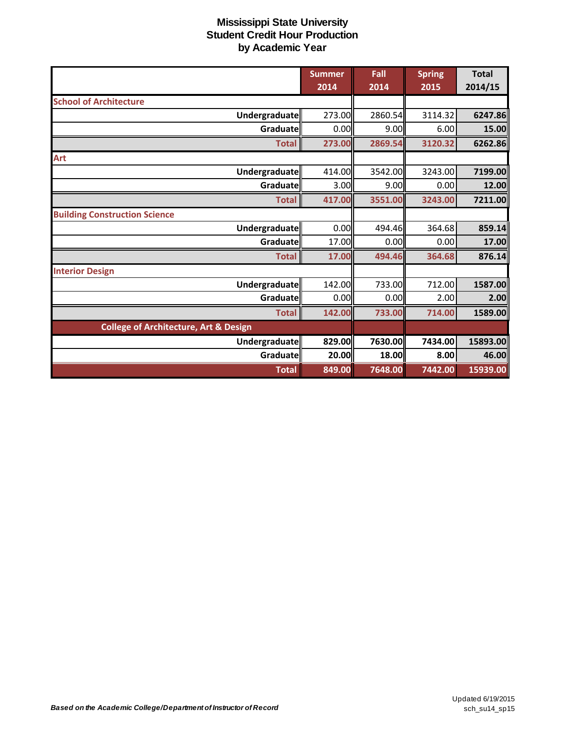|                                                  | <b>Summer</b><br>2014 | Fall<br>2014 | <b>Spring</b><br>2015 | <b>Total</b><br>2014/15 |
|--------------------------------------------------|-----------------------|--------------|-----------------------|-------------------------|
| <b>School of Architecture</b>                    |                       |              |                       |                         |
| Undergraduate                                    | 273.00                | 2860.54      | 3114.32               | 6247.86                 |
| Graduate                                         | 0.00                  | 9.00         | 6.00                  | 15.00                   |
| <b>Total</b>                                     | 273.00                | 2869.54      | 3120.32               | 6262.86                 |
| Art                                              |                       |              |                       |                         |
| <b>Undergraduate</b>                             | 414.00                | 3542.00      | 3243.00               | 7199.00                 |
| Graduate                                         | 3.00                  | 9.00         | 0.00                  | 12.00                   |
| <b>Total</b>                                     | 417.00                | 3551.00      | 3243.00               | 7211.00                 |
| <b>Building Construction Science</b>             |                       |              |                       |                         |
| <b>Undergraduate</b>                             | 0.00                  | 494.46       | 364.68                | 859.14                  |
| Graduate                                         | 17.00                 | 0.00         | 0.00                  | 17.00                   |
| <b>Total</b>                                     | 17.00                 | 494.46       | 364.68                | 876.14                  |
| <b>Interior Design</b>                           |                       |              |                       |                         |
| <b>Undergraduate</b>                             | 142.00                | 733.00       | 712.00                | 1587.00                 |
| Graduate                                         | 0.00                  | 0.00         | 2.00                  | 2.00                    |
| <b>Total</b>                                     | 142.00                | 733.00       | 714.00                | 1589.00                 |
| <b>College of Architecture, Art &amp; Design</b> |                       |              |                       |                         |
| Undergraduate                                    | 829.00                | 7630.00      | 7434.00               | 15893.00                |
| <b>Graduate</b>                                  | 20.00                 | 18.00        | 8.00                  | 46.00                   |
| <b>Total</b>                                     | 849.00                | 7648.00      | 7442.00               | 15939.00                |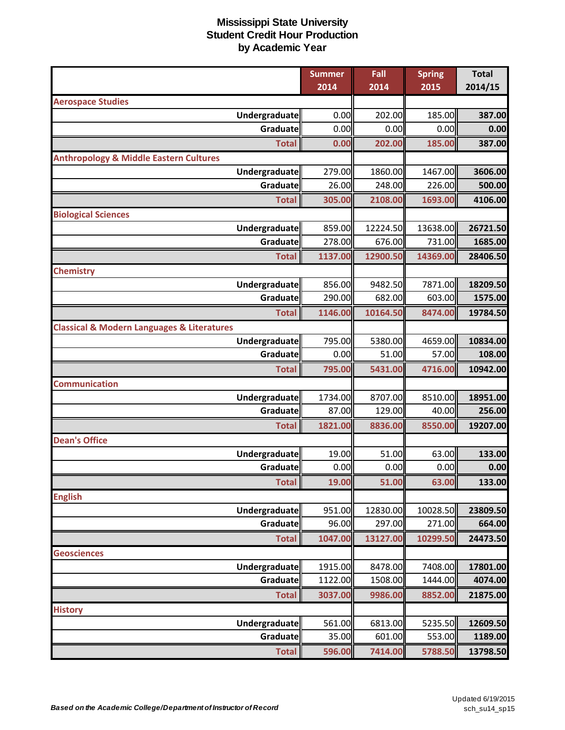|                                                           | <b>Summer</b> | Fall     | <b>Spring</b> | <b>Total</b> |
|-----------------------------------------------------------|---------------|----------|---------------|--------------|
|                                                           | 2014          | 2014     | 2015          | 2014/15      |
| <b>Aerospace Studies</b>                                  |               |          |               |              |
| <b>Undergraduate</b>                                      | 0.00          | 202.00   | 185.00        | 387.00       |
| Graduate                                                  | 0.00          | 0.00     | 0.00          | 0.00         |
| <b>Total</b>                                              | 0.00          | 202.00   | 185.00        | 387.00       |
| <b>Anthropology &amp; Middle Eastern Cultures</b>         |               |          |               |              |
| <b>Undergraduate</b>                                      | 279.00        | 1860.00  | 1467.00       | 3606.00      |
| Graduate                                                  | 26.00         | 248.00   | 226.00        | 500.00       |
| <b>Total</b>                                              | 305.00        | 2108.00  | 1693.00       | 4106.00      |
| <b>Biological Sciences</b>                                |               |          |               |              |
| Undergraduate                                             | 859.00        | 12224.50 | 13638.00      | 26721.50     |
| Graduate                                                  | 278.00        | 676.00   | 731.00        | 1685.00      |
| <b>Total</b>                                              | 1137.00       | 12900.50 | 14369.00      | 28406.50     |
| <b>Chemistry</b>                                          |               |          |               |              |
| Undergraduate                                             | 856.00        | 9482.50  | 7871.00       | 18209.50     |
| Graduate                                                  | 290.00        | 682.00   | 603.00        | 1575.00      |
| <b>Total</b>                                              | 1146.00       | 10164.50 | 8474.00       | 19784.50     |
| <b>Classical &amp; Modern Languages &amp; Literatures</b> |               |          |               |              |
| Undergraduate                                             | 795.00        | 5380.00  | 4659.00       | 10834.00     |
| Graduate                                                  | 0.00          | 51.00    | 57.00         | 108.00       |
| <b>Total</b>                                              | 795.00        | 5431.00  | 4716.00       | 10942.00     |
| <b>Communication</b>                                      |               |          |               |              |
| <b>Undergraduate</b>                                      | 1734.00       | 8707.00  | 8510.00       | 18951.00     |
| Graduate                                                  | 87.00         | 129.00   | 40.00         | 256.00       |
| <b>Total</b>                                              | 1821.00       | 8836.00  | 8550.00       | 19207.00     |
| <b>Dean's Office</b>                                      |               |          |               |              |
| <b>Undergraduate</b>                                      | 19.00         | 51.00    | 63.00         | 133.00       |
| Graduate                                                  | 0.00          | 0.00     | 0.00          | 0.00         |
| <b>Total</b>                                              | 19.00         | 51.00    | 63.00         | 133.00       |
| <b>English</b>                                            |               |          |               |              |
| <b>Undergraduate</b>                                      | 951.00        | 12830.00 | 10028.50      | 23809.50     |
| Graduate                                                  | 96.00         | 297.00   | 271.00        | 664.00       |
| <b>Total</b>                                              | 1047.00       | 13127.00 | 10299.50      | 24473.50     |
| <b>Geosciences</b>                                        |               |          |               |              |
| <b>Undergraduate</b>                                      | 1915.00       | 8478.00  | 7408.00       | 17801.00     |
| Graduate                                                  | 1122.00       | 1508.00  | 1444.00       | 4074.00      |
| <b>Total</b>                                              | 3037.00       | 9986.00  | 8852.00       | 21875.00     |
| <b>History</b>                                            |               |          |               |              |
| Undergraduate                                             | 561.00        | 6813.00  | 5235.50       | 12609.50     |
| Graduate                                                  | 35.00         | 601.00   | 553.00        | 1189.00      |
| <b>Total</b>                                              | 596.00        | 7414.00  | 5788.50       | 13798.50     |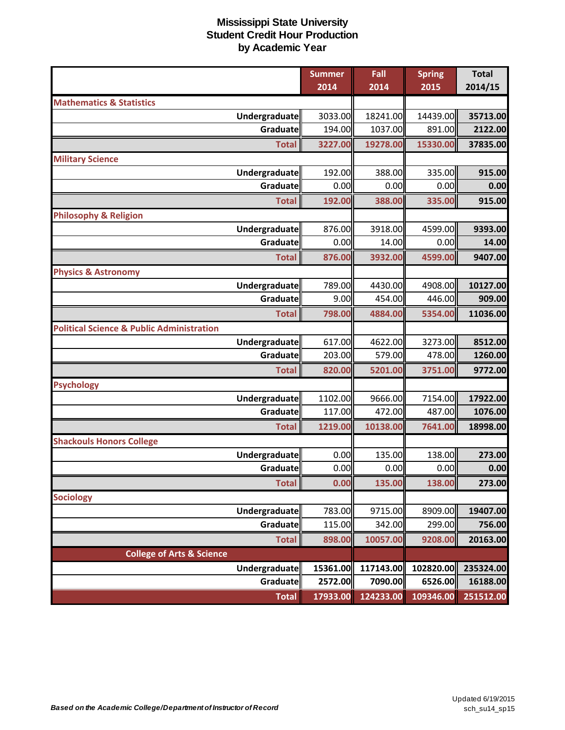|                                                      | <b>Summer</b> | Fall      | <b>Spring</b> | <b>Total</b> |
|------------------------------------------------------|---------------|-----------|---------------|--------------|
|                                                      | 2014          | 2014      | 2015          | 2014/15      |
| <b>Mathematics &amp; Statistics</b>                  |               |           |               |              |
| Undergraduate                                        | 3033.00       | 18241.00  | 14439.00      | 35713.00     |
| Graduate                                             | 194.00        | 1037.00   | 891.00        | 2122.00      |
| <b>Total</b>                                         | 3227.00       | 19278.00  | 15330.00      | 37835.00     |
| <b>Military Science</b>                              |               |           |               |              |
| Undergraduate                                        | 192.00        | 388.00    | 335.00        | 915.00       |
| Graduate                                             | 0.00          | 0.00      | 0.00          | 0.00         |
| <b>Total</b>                                         | 192.00        | 388.00    | 335.00        | 915.00       |
| <b>Philosophy &amp; Religion</b>                     |               |           |               |              |
| Undergraduate                                        | 876.00        | 3918.00   | 4599.00       | 9393.00      |
| <b>Graduate</b>                                      | 0.00          | 14.00     | 0.00          | 14.00        |
| <b>Total</b>                                         | 876.00        | 3932.00   | 4599.00       | 9407.00      |
| <b>Physics &amp; Astronomy</b>                       |               |           |               |              |
| Undergraduate                                        | 789.00        | 4430.00   | 4908.00       | 10127.00     |
| Graduate                                             | 9.00          | 454.00    | 446.00        | 909.00       |
| <b>Total</b>                                         | 798.00        | 4884.00   | 5354.00       | 11036.00     |
| <b>Political Science &amp; Public Administration</b> |               |           |               |              |
| Undergraduate                                        | 617.00        | 4622.00   | 3273.00       | 8512.00      |
| Graduate                                             | 203.00        | 579.00    | 478.00        | 1260.00      |
| <b>Total</b>                                         | 820.00        | 5201.00   | 3751.00       | 9772.00      |
| <b>Psychology</b>                                    |               |           |               |              |
| Undergraduate                                        | 1102.00       | 9666.00   | 7154.00       | 17922.00     |
| Graduate                                             | 117.00        | 472.00    | 487.00        | 1076.00      |
| <b>Total</b>                                         | 1219.00       | 10138.00  | 7641.00       | 18998.00     |
| <b>Shackouls Honors College</b>                      |               |           |               |              |
| Undergraduate                                        | 0.00          | 135.00    | 138.00        | 273.00       |
| Graduate                                             | 0.00          | 0.00      | 0.00          | 0.00         |
| <b>Total</b>                                         | 0.00          | 135.00    | 138.00        | 273.00       |
| <b>Sociology</b>                                     |               |           |               |              |
| <b>Undergraduate</b>                                 | 783.00        | 9715.00   | 8909.00       | 19407.00     |
| Graduate                                             | 115.00        | 342.00    | 299.00        | 756.00       |
| <b>Total</b>                                         | 898.00        | 10057.00  | 9208.00       | 20163.00     |
| <b>College of Arts &amp; Science</b>                 |               |           |               |              |
| Undergraduate                                        | 15361.00      | 117143.00 | 102820.00     | 235324.00    |
| Graduate                                             | 2572.00       | 7090.00   | 6526.00       | 16188.00     |
| <b>Total</b>                                         | 17933.00      | 124233.00 | 109346.00     | 251512.00    |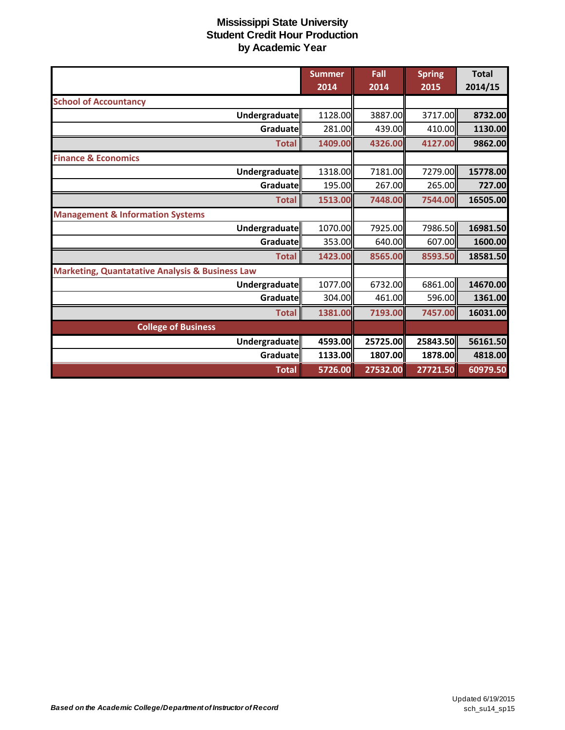|                                                            | <b>Summer</b> | Fall     | <b>Spring</b> | <b>Total</b> |
|------------------------------------------------------------|---------------|----------|---------------|--------------|
|                                                            | 2014          | 2014     | 2015          | 2014/15      |
| <b>School of Accountancy</b>                               |               |          |               |              |
| Undergraduate                                              | 1128.00       | 3887.00  | 3717.00       | 8732.00      |
| Graduate                                                   | 281.00        | 439.00   | 410.00        | 1130.00      |
| <b>Total</b>                                               | 1409.00       | 4326.00  | 4127.00       | 9862.00      |
| <b>Finance &amp; Economics</b>                             |               |          |               |              |
| Undergraduate                                              | 1318.00       | 7181.00  | 7279.00       | 15778.00     |
| Graduate                                                   | 195.00        | 267.00   | 265.00        | 727.00       |
| <b>Total</b>                                               | 1513.00       | 7448.00  | 7544.00       | 16505.00     |
| <b>Management &amp; Information Systems</b>                |               |          |               |              |
| Undergraduate                                              | 1070.00       | 7925.00  | 7986.50       | 16981.50     |
| Graduate                                                   | 353.00        | 640.00   | 607.00        | 1600.00      |
| <b>Total</b>                                               | 1423.00       | 8565.00  | 8593.50       | 18581.50     |
| <b>Marketing, Quantatative Analysis &amp; Business Law</b> |               |          |               |              |
| Undergraduate                                              | 1077.00       | 6732.00  | 6861.00       | 14670.00     |
| Graduate                                                   | 304.00        | 461.00   | 596.00        | 1361.00      |
| <b>Total</b>                                               | 1381.00       | 7193.00  | 7457.00       | 16031.00     |
| <b>College of Business</b>                                 |               |          |               |              |
| Undergraduate                                              | 4593.00       | 25725.00 | 25843.50      | 56161.50     |
| <b>Graduate</b>                                            | 1133.00       | 1807.00  | 1878.00       | 4818.00      |
| <b>Total</b>                                               | 5726.00       | 27532.00 | 27721.50      | 60979.50     |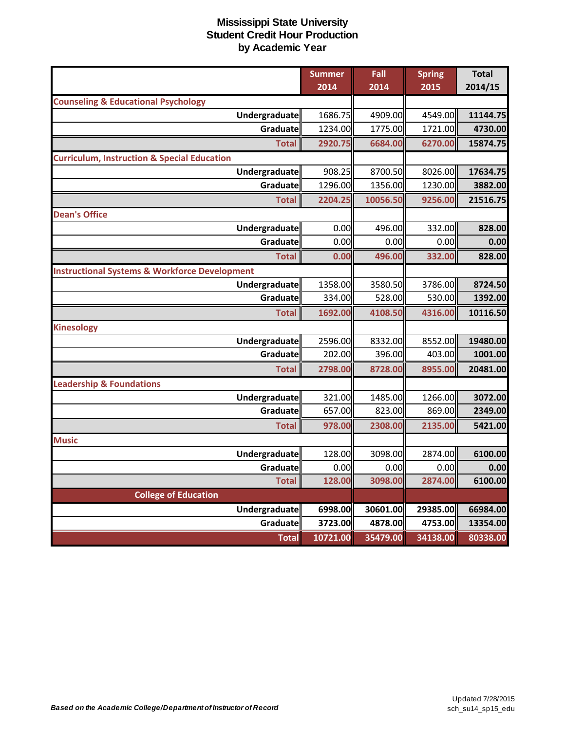|                                                          | <b>Summer</b><br>2014 | Fall<br>2014 | <b>Spring</b><br>2015 | <b>Total</b><br>2014/15 |
|----------------------------------------------------------|-----------------------|--------------|-----------------------|-------------------------|
| <b>Counseling &amp; Educational Psychology</b>           |                       |              |                       |                         |
| Undergraduate                                            | 1686.75               | 4909.00      | 4549.00               | 11144.75                |
| Graduate                                                 | 1234.00               | 1775.00      | 1721.00               | 4730.00                 |
| <b>Total</b>                                             | 2920.75               | 6684.00      | 6270.00               | 15874.75                |
| <b>Curriculum, Instruction &amp; Special Education</b>   |                       |              |                       |                         |
| Undergraduate                                            | 908.25                | 8700.50      | 8026.00               | 17634.75                |
| Graduate                                                 | 1296.00               | 1356.00      | 1230.00               | 3882.00                 |
| <b>Total</b>                                             | 2204.25               | 10056.50     | 9256.00               | 21516.75                |
| <b>Dean's Office</b>                                     |                       |              |                       |                         |
| Undergraduate                                            | 0.00                  | 496.00       | 332.00                | 828.00                  |
| Graduate                                                 | 0.00                  | 0.00         | 0.00                  | 0.00                    |
| <b>Total</b>                                             | 0.00                  | 496.00       | 332.00                | 828.00                  |
| <b>Instructional Systems &amp; Workforce Development</b> |                       |              |                       |                         |
| Undergraduate                                            | 1358.00               | 3580.50      | 3786.00               | 8724.50                 |
| Graduate                                                 | 334.00                | 528.00       | 530.00                | 1392.00                 |
| <b>Total</b>                                             | 1692.00               | 4108.50      | 4316.00               | 10116.50                |
| <b>Kinesology</b>                                        |                       |              |                       |                         |
| Undergraduate                                            | 2596.00               | 8332.00      | 8552.00               | 19480.00                |
| Graduate                                                 | 202.00                | 396.00       | 403.00                | 1001.00                 |
| <b>Total</b>                                             | 2798.00               | 8728.00      | 8955.00               | 20481.00                |
| <b>Leadership &amp; Foundations</b>                      |                       |              |                       |                         |
| Undergraduate                                            | 321.00                | 1485.00      | 1266.00               | 3072.00                 |
| Graduate                                                 | 657.00                | 823.00       | 869.00                | 2349.00                 |
| <b>Total</b>                                             | 978.00                | 2308.00      | 2135.00               | 5421.00                 |
| <b>Music</b>                                             |                       |              |                       |                         |
| Undergraduate                                            | 128.00                | 3098.00      | 2874.00               | 6100.00                 |
| Graduate                                                 | 0.00                  | 0.00         | 0.00                  | 0.00                    |
| <b>Total</b>                                             | 128.00                | 3098.00      | 2874.00               | 6100.00                 |
| <b>College of Education</b>                              |                       |              |                       |                         |
| <b>Undergraduate</b>                                     | 6998.00               | 30601.00     | 29385.00              | 66984.00                |
| Graduate                                                 | 3723.00               | 4878.00      | 4753.00               | 13354.00                |
| <b>Total</b>                                             | 10721.00              | 35479.00     | 34138.00              | 80338.00                |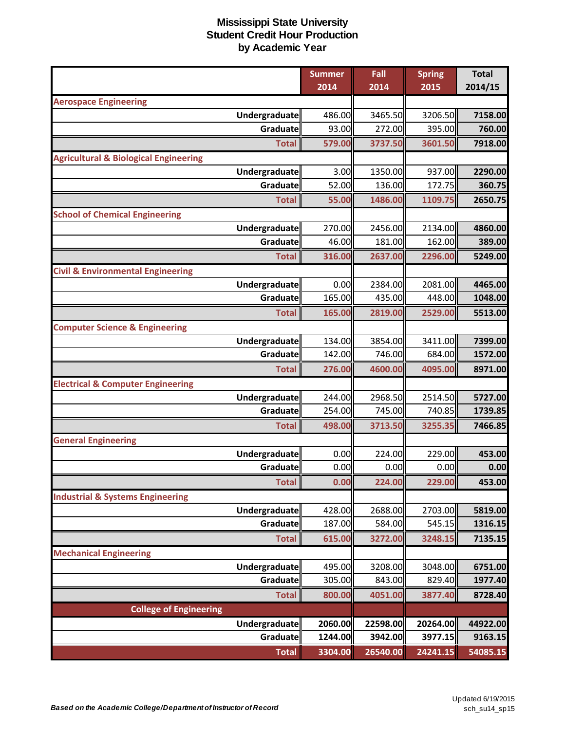|                                                  | <b>Summer</b> | Fall     | <b>Spring</b> | <b>Total</b> |
|--------------------------------------------------|---------------|----------|---------------|--------------|
|                                                  | 2014          | 2014     | 2015          | 2014/15      |
| <b>Aerospace Engineering</b>                     |               |          |               |              |
| <b>Undergraduate</b>                             | 486.00        | 3465.50  | 3206.50       | 7158.00      |
| Graduate                                         | 93.00         | 272.00   | 395.00        | 760.00       |
| <b>Total</b>                                     | 579.00        | 3737.50  | 3601.50       | 7918.00      |
| <b>Agricultural &amp; Biological Engineering</b> |               |          |               |              |
| <b>Undergraduate</b>                             | 3.00          | 1350.00  | 937.00        | 2290.00      |
| Graduate                                         | 52.00         | 136.00   | 172.75        | 360.75       |
| <b>Total</b>                                     | 55.00         | 1486.00  | 1109.75       | 2650.75      |
| <b>School of Chemical Engineering</b>            |               |          |               |              |
| Undergraduate                                    | 270.00        | 2456.00  | 2134.00       | 4860.00      |
| Graduate                                         | 46.00         | 181.00   | 162.00        | 389.00       |
| <b>Total</b>                                     | 316.00        | 2637.00  | 2296.00       | 5249.00      |
| <b>Civil &amp; Environmental Engineering</b>     |               |          |               |              |
| <b>Undergraduate</b>                             | 0.00          | 2384.00  | 2081.00       | 4465.00      |
| Graduate                                         | 165.00        | 435.00   | 448.00        | 1048.00      |
| <b>Total</b>                                     | 165.00        | 2819.00  | 2529.00       | 5513.00      |
| <b>Computer Science &amp; Engineering</b>        |               |          |               |              |
| Undergraduate                                    | 134.00        | 3854.00  | 3411.00       | 7399.00      |
| Graduate                                         | 142.00        | 746.00   | 684.00        | 1572.00      |
| <b>Total</b>                                     | 276.00        | 4600.00  | 4095.00       | 8971.00      |
| <b>Electrical &amp; Computer Engineering</b>     |               |          |               |              |
| <b>Undergraduate</b>                             | 244.00        | 2968.50  | 2514.50       | 5727.00      |
| <b>Graduate</b>                                  | 254.00        | 745.00   | 740.85        | 1739.85      |
| <b>Total</b>                                     | 498.00        | 3713.50  | 3255.35       | 7466.85      |
| <b>General Engineering</b>                       |               |          |               |              |
| <b>Undergraduate</b>                             | 0.00          | 224.00   | 229.00        | 453.00       |
| Graduate                                         | 0.00          | 0.00     | 0.00          | 0.00         |
| <b>Total</b>                                     | 0.00          | 224.00   | 229.00        | 453.00       |
| <b>Industrial &amp; Systems Engineering</b>      |               |          |               |              |
| Undergraduate                                    | 428.00        | 2688.00  | 2703.00       | 5819.00      |
| Graduate                                         | 187.00        | 584.00   | 545.15        | 1316.15      |
| <b>Total</b>                                     | 615.00        | 3272.00  | 3248.15       | 7135.15      |
| <b>Mechanical Engineering</b>                    |               |          |               |              |
| <b>Undergraduate</b>                             | 495.00        | 3208.00  | 3048.00       | 6751.00      |
| Graduate                                         | 305.00        | 843.00   | 829.40        | 1977.40      |
| <b>Total</b>                                     | 800.00        | 4051.00  | 3877.40       | 8728.40      |
| <b>College of Engineering</b>                    |               |          |               |              |
| <b>Undergraduate</b>                             | 2060.00       | 22598.00 | 20264.00      | 44922.00     |
| Graduate                                         | 1244.00       | 3942.00  | 3977.15       | 9163.15      |
| <b>Total</b>                                     | 3304.00       | 26540.00 | 24241.15      | 54085.15     |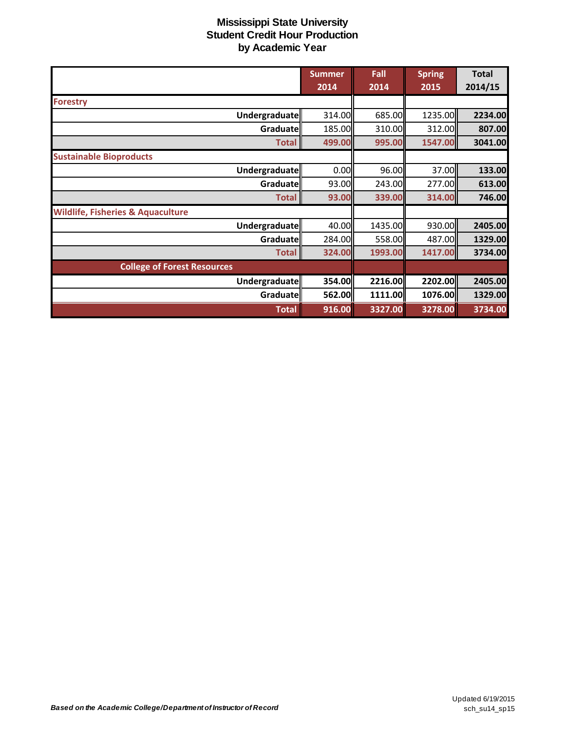|                                              | <b>Summer</b> | Fall    | <b>Spring</b> | <b>Total</b> |
|----------------------------------------------|---------------|---------|---------------|--------------|
|                                              | 2014          | 2014    | 2015          | 2014/15      |
| <b>Forestry</b>                              |               |         |               |              |
| Undergraduate                                | 314.00        | 685.00  | 1235.00       | 2234.00      |
| Graduate                                     | 185.00        | 310.00  | 312.00        | 807.00       |
| <b>Total</b>                                 | 499.00        | 995.00  | 1547.00       | 3041.00      |
| <b>Sustainable Bioproducts</b>               |               |         |               |              |
| Undergraduate                                | 0.00          | 96.00   | 37.00         | 133.00       |
| Graduate                                     | 93.00         | 243.00  | 277.00        | 613.00       |
| <b>Total</b>                                 | 93.00         | 339.00  | 314.00        | 746.00       |
| <b>Wildlife, Fisheries &amp; Aquaculture</b> |               |         |               |              |
| Undergraduate                                | 40.00         | 1435.00 | 930.00        | 2405.00      |
| Graduate                                     | 284.00        | 558.00  | 487.00        | 1329.00      |
| <b>Total</b>                                 | 324.00        | 1993.00 | 1417.00       | 3734.00      |
| <b>College of Forest Resources</b>           |               |         |               |              |
| Undergraduate                                | 354.00        | 2216.00 | 2202.00       | 2405.00      |
| Graduate                                     | 562.00        | 1111.00 | 1076.00       | 1329.00      |
| <b>Total</b>                                 | 916.00        | 3327.00 | 3278.00       | 3734.00      |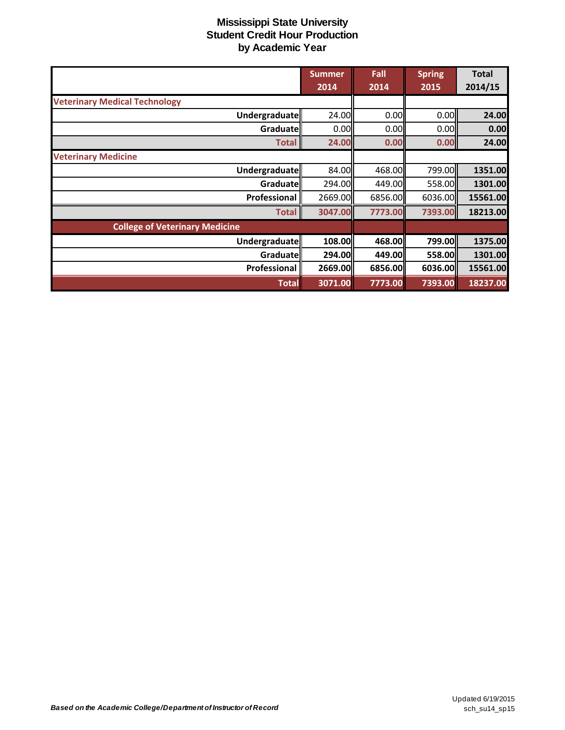|                                       | <b>Summer</b> | Fall      | <b>Spring</b> | <b>Total</b> |
|---------------------------------------|---------------|-----------|---------------|--------------|
|                                       | 2014          | 2014      | 2015          | 2014/15      |
| <b>Veterinary Medical Technology</b>  |               |           |               |              |
| Undergraduate                         | 24.00         | 0.00      | 0.00          | 24.00        |
| Graduate                              | 0.00          | 0.00      | 0.00          | 0.00         |
| <b>Total</b>                          | 24.00         | 0.00      | 0.00          | 24.00        |
| <b>Veterinary Medicine</b>            |               |           |               |              |
| Undergraduate                         | 84.00         | 468.00    | 799.00        | 1351.00      |
| Graduatell                            | 294.00        | 449.00I   | 558.00        | 1301.00      |
| Professional                          | 2669.00       | 6856.00   | 6036.00       | 15561.00     |
| <b>Total</b>                          | 3047.00       | 7773.00   | 7393.00       | 18213.00     |
| <b>College of Veterinary Medicine</b> |               |           |               |              |
| <b>Undergraduate</b>                  | 108.00        | 468.00    | 799.00        | 1375.00      |
| Graduate                              | 294.00        | 449.00    | 558.00        | 1301.00      |
| Professional                          | 2669.00       | 6856.00ll | 6036.00       | 15561.00     |
| <b>Total</b>                          | 3071.00       | 7773.00   | 7393.00       | 18237.00     |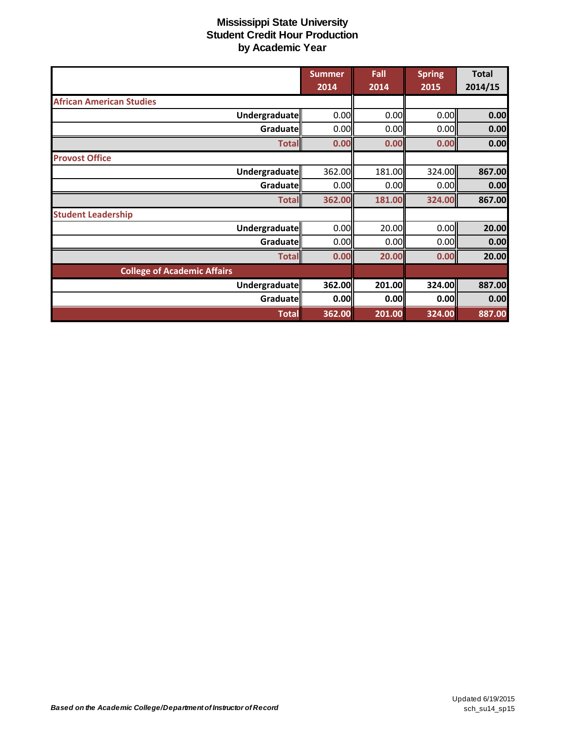|                                    | <b>Summer</b> | Fall                | <b>Spring</b> | <b>Total</b> |
|------------------------------------|---------------|---------------------|---------------|--------------|
|                                    | 2014          | 2014                | 2015          | 2014/15      |
| <b>African American Studies</b>    |               |                     |               |              |
| Undergraduate                      | 0.00          | 0.00                | 0.00          | 0.00         |
| Graduate                           | 0.00          | 0.00                | 0.00          | 0.00         |
| <b>Total</b>                       | 0.00          | 0.00                | 0.00          | 0.00         |
| <b>Provost Office</b>              |               |                     |               |              |
| Undergraduate                      | 362.00        | 181.00              | 324.00        | 867.00       |
| Graduate                           | 0.00          | 0.00                | 0.00          | 0.00         |
| <b>Total</b>                       | 362.00        | 181.00              | 324.00        | 867.00       |
| <b>Student Leadership</b>          |               |                     |               |              |
| Undergraduate                      | 0.00          | 20.00               | 0.00          | 20.00        |
| Graduate                           | 0.00          | 0.00                | 0.00          | 0.00         |
| <b>Total</b>                       | 0.00          | 20.00               | 0.00          | 20.00        |
| <b>College of Academic Affairs</b> |               |                     |               |              |
| Undergraduate                      | 362.00        | 201.00              | 324.00        | 887.00       |
| <b>Graduate</b>                    | 0.00          | 0.00                | 0.00          | 0.00         |
| <b>Total</b>                       | 362.00        | $\overline{201.00}$ | 324.00        | 887.00       |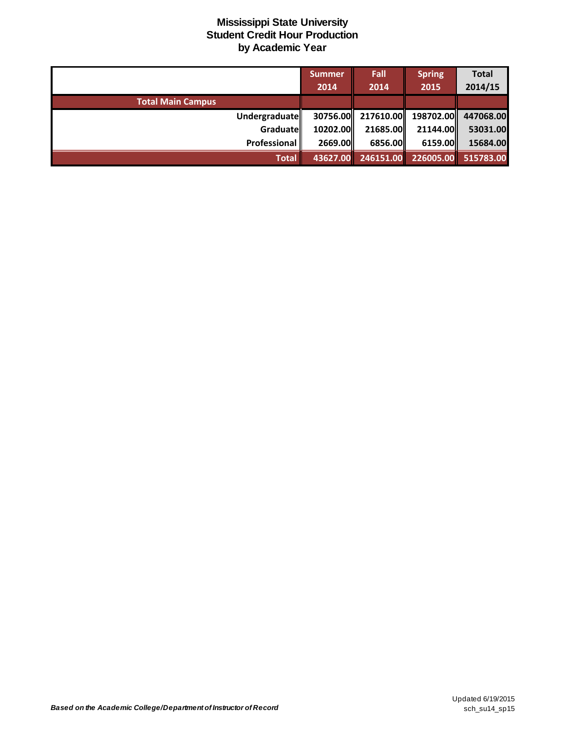|                          | Summer   | Fall      | <b>Spring</b>                          | <b>Total</b>        |
|--------------------------|----------|-----------|----------------------------------------|---------------------|
|                          | 2014     | 2014      | 2015                                   | 2014/15             |
| <b>Total Main Campus</b> |          |           |                                        |                     |
| Undergraduatell          |          |           | 30756.00 217610.00 198702.00 447068.00 |                     |
| Graduate                 | 10202.00 | 21685.00  | 21144.00                               | 53031.00            |
| Professional             | 2669.00  | 6856.00   | 6159.00                                | 15684.00            |
| <b>Total</b>             | 43627.00 | 246151.00 |                                        | 226005.00 515783.00 |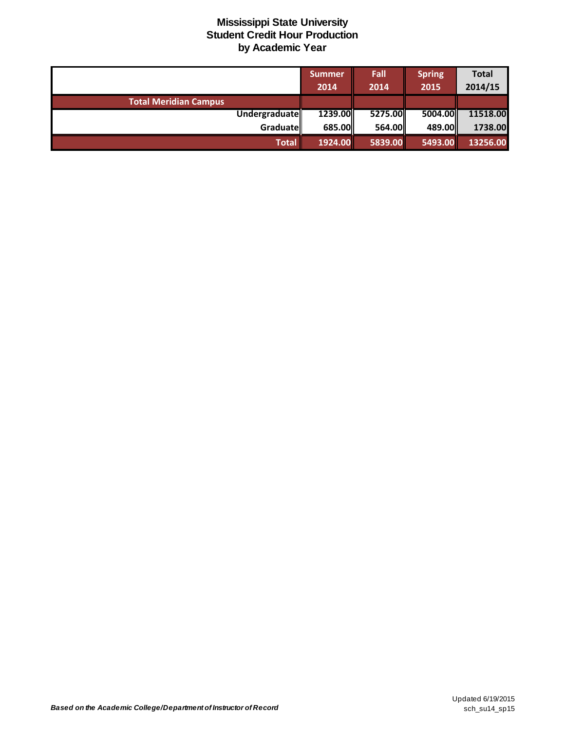|                              | <b>Summer</b> | Fall            | <b>Spring</b> | <b>Total</b> |
|------------------------------|---------------|-----------------|---------------|--------------|
|                              | 2014          | 2014            | 2015          | 2014/15      |
| <b>Total Meridian Campus</b> |               |                 |               |              |
| Undergraduate                | 1239.00       | 5275.00         | 5004.00       | 11518.00     |
| Graduate                     | 685.00        | <b>564.00II</b> | 489.00        | 1738.00      |
| Total                        | 1924.00       | 5839.00         | 5493.00       | 13256.00     |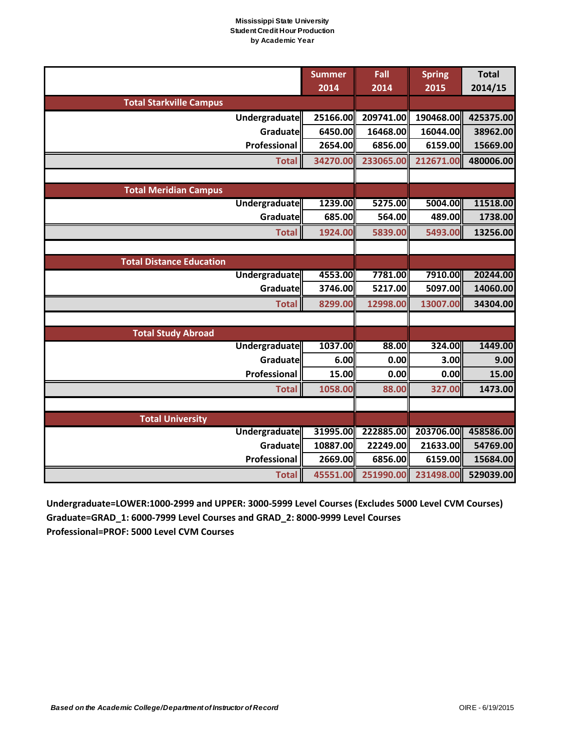|                                 | <b>Summer</b><br>2014 | Fall<br>2014 | <b>Spring</b><br>2015 | <b>Total</b><br>2014/15 |
|---------------------------------|-----------------------|--------------|-----------------------|-------------------------|
| <b>Total Starkville Campus</b>  |                       |              |                       |                         |
| Undergraduate                   | 25166.00              | 209741.00    | 190468.00             | 425375.00               |
| Graduate                        | 6450.00               | 16468.00     | 16044.00              | 38962.00                |
| Professional                    | 2654.00               | 6856.00      | 6159.00               | 15669.00                |
| <b>Total</b>                    | 34270.00              | 233065.00    | 212671.00             | 480006.00               |
|                                 |                       |              |                       |                         |
| <b>Total Meridian Campus</b>    |                       |              |                       |                         |
| Undergraduate                   | 1239.00               | 5275.00      | 5004.00               | 11518.00                |
| Graduate                        | 685.00                | 564.00       | 489.00                | 1738.00                 |
| <b>Total</b>                    | 1924.00               | 5839.00      | 5493.00               | 13256.00                |
|                                 |                       |              |                       |                         |
| <b>Total Distance Education</b> |                       |              |                       |                         |
| <b>Undergraduate</b>            | 4553.00               | 7781.00      | 7910.00               | 20244.00                |
| Graduate                        | 3746.00               | 5217.00      | 5097.00               | 14060.00                |
| <b>Total</b>                    | 8299.00               | 12998.00     | 13007.00              | 34304.00                |
|                                 |                       |              |                       |                         |
| <b>Total Study Abroad</b>       |                       |              |                       |                         |
| <b>Undergraduate</b>            | 1037.00               | 88.00        | 324.00                | 1449.00                 |
| Graduate                        | 6.00                  | 0.00         | 3.00                  | 9.00                    |
| Professional                    | 15.00                 | 0.00         | 0.00                  | 15.00                   |
| <b>Total</b>                    | 1058.00               | 88.00        | 327.00                | 1473.00                 |
|                                 |                       |              |                       |                         |
| <b>Total University</b>         |                       |              |                       |                         |
| <b>Undergraduate</b>            | 31995.00              | 222885.00    | 203706.00             | 458586.00               |
| Graduate                        | 10887.00              | 22249.00     | 21633.00              | 54769.00                |
| Professional                    | 2669.00               | 6856.00      | 6159.00               | 15684.00                |
| <b>Total</b>                    | 45551.00              | 251990.00    | 231498.00             | 529039.00               |

**Undergraduate=LOWER:1000-2999 and UPPER: 3000-5999 Level Courses (Excludes 5000 Level CVM Courses) Graduate=GRAD\_1: 6000-7999 Level Courses and GRAD\_2: 8000-9999 Level Courses Professional=PROF: 5000 Level CVM Courses**